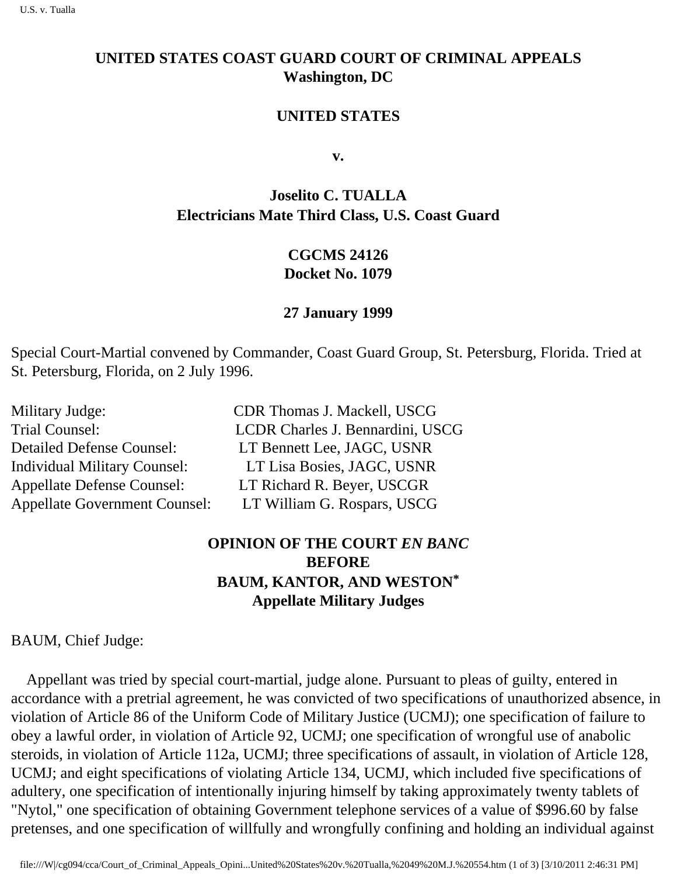# **UNITED STATES COAST GUARD COURT OF CRIMINAL APPEALS Washington, DC**

## **UNITED STATES**

**v.**

# **Joselito C. TUALLA Electrician s Mate Third Class, U.S. Coast Guard**

## **CGCMS 24126 Docket No. 1079**

### **27 January 1999**

Special Court-Martial convened by Commander, Coast Guard Group, St. Petersburg, Florida. Tried at St. Petersburg, Florida, on 2 July 1996.

| Military Judge:                      | CDR Thomas J. Mackell, USCG      |
|--------------------------------------|----------------------------------|
| Trial Counsel:                       | LCDR Charles J. Bennardini, USCG |
| <b>Detailed Defense Counsel:</b>     | LT Bennett Lee, JAGC, USNR       |
| <b>Individual Military Counsel:</b>  | LT Lisa Bosies, JAGC, USNR       |
| <b>Appellate Defense Counsel:</b>    | LT Richard R. Beyer, USCGR       |
| <b>Appellate Government Counsel:</b> | LT William G. Rospars, USCG      |

# **OPINION OF THE COURT** *EN BANC* **BEFORE BAUM, KANTOR, AND WESTON\* Appellate Military Judges**

BAUM, Chief Judge:

 Appellant was tried by special court-martial, judge alone. Pursuant to pleas of guilty, entered in accordance with a pretrial agreement, he was convicted of two specifications of unauthorized absence, in violation of Article 86 of the Uniform Code of Military Justice (UCMJ); one specification of failure to obey a lawful order, in violation of Article 92, UCMJ; one specification of wrongful use of anabolic steroids, in violation of Article 112a, UCMJ; three specifications of assault, in violation of Article 128, UCMJ; and eight specifications of violating Article 134, UCMJ, which included five specifications of adultery, one specification of intentionally injuring himself by taking approximately twenty tablets of "Nytol," one specification of obtaining Government telephone services of a value of \$996.60 by false pretenses, and one specification of willfully and wrongfully confining and holding an individual against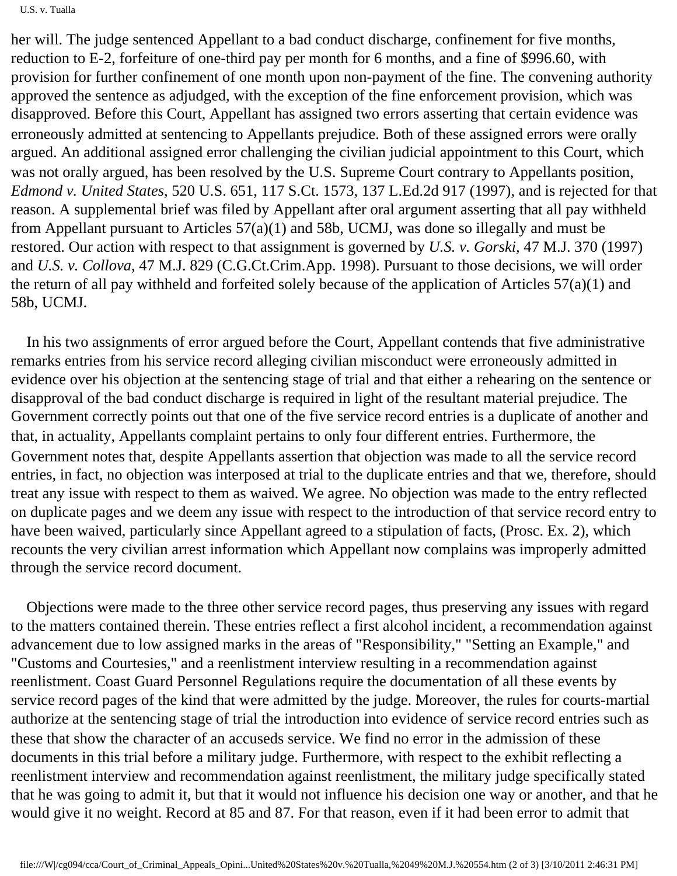#### U.S. v. Tualla

her will. The judge sentenced Appellant to a bad conduct discharge, confinement for five months, reduction to E-2, forfeiture of one-third pay per month for 6 months, and a fine of \$996.60, with provision for further confinement of one month upon non-payment of the fine. The convening authority approved the sentence as adjudged, with the exception of the fine enforcement provision, which was disapproved. Before this Court, Appellant has assigned two errors asserting that certain evidence was erroneously admitted at sentencing to Appellant s prejudice. Both of these assigned errors were orally argued. An additional assigned error challenging the civilian judicial appointment to this Court, which was not orally argued, has been resolved by the U.S. Supreme Court contrary to Appellant s position, *Edmond v. United States*, 520 U.S. 651, 117 S.Ct. 1573, 137 L.Ed.2d 917 (1997), and is rejected for that reason. A supplemental brief was filed by Appellant after oral argument asserting that all pay withheld from Appellant pursuant to Articles 57(a)(1) and 58b, UCMJ, was done so illegally and must be restored. Our action with respect to that assignment is governed by *U.S. v. Gorski,* 47 M.J. 370 (1997) and *U.S. v. Collova*, 47 M.J. 829 (C.G.Ct.Crim.App. 1998). Pursuant to those decisions, we will order the return of all pay withheld and forfeited solely because of the application of Articles 57(a)(1) and 58b, UCMJ.

 In his two assignments of error argued before the Court, Appellant contends that five administrative remarks entries from his service record alleging civilian misconduct were erroneously admitted in evidence over his objection at the sentencing stage of trial and that either a rehearing on the sentence or disapproval of the bad conduct discharge is required in light of the resultant material prejudice. The Government correctly points out that one of the five service record entries is a duplicate of another and that, in actuality, Appellant s complaint pertains to only four different entries. Furthermore, the Government notes that, despite Appellant s assertion that objection was made to all the service record entries, in fact, no objection was interposed at trial to the duplicate entries and that we, therefore, should treat any issue with respect to them as waived. We agree. No objection was made to the entry reflected on duplicate pages and we deem any issue with respect to the introduction of that service record entry to have been waived, particularly since Appellant agreed to a stipulation of facts, (Prosc. Ex. 2), which recounts the very civilian arrest information which Appellant now complains was improperly admitted through the service record document.

 Objections were made to the three other service record pages, thus preserving any issues with regard to the matters contained therein. These entries reflect a first alcohol incident, a recommendation against advancement due to low assigned marks in the areas of "Responsibility," "Setting an Example," and "Customs and Courtesies," and a reenlistment interview resulting in a recommendation against reenlistment. Coast Guard Personnel Regulations require the documentation of all these events by service record pages of the kind that were admitted by the judge. Moreover, the rules for courts-martial authorize at the sentencing stage of trial the introduction into evidence of service record entries such as these that show the character of an accused s service. We find no error in the admission of these documents in this trial before a military judge. Furthermore, with respect to the exhibit reflecting a reenlistment interview and recommendation against reenlistment, the military judge specifically stated that he was going to admit it, but that it would not influence his decision one way or another, and that he would give it no weight. Record at 85 and 87. For that reason, even if it had been error to admit that